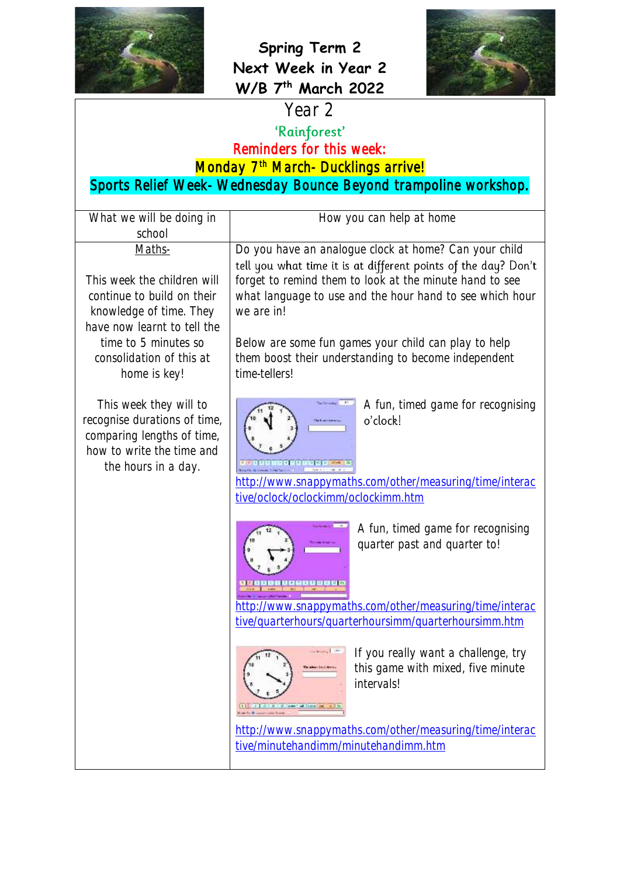



## Year 2

Reminders for this week:

Monday 7<sup>th</sup> March- Ducklings arrive!

Sports Relief Week- Wednesday Bounce Beyond trampoline workshop.

| What we will be doing in                                                                                                                                                                | How you can help at home                                                                                                                                                                                                                                                                                                             |
|-----------------------------------------------------------------------------------------------------------------------------------------------------------------------------------------|--------------------------------------------------------------------------------------------------------------------------------------------------------------------------------------------------------------------------------------------------------------------------------------------------------------------------------------|
| school<br>Maths-                                                                                                                                                                        | Do you have an analogue clock at home? Can your child                                                                                                                                                                                                                                                                                |
| This week the children will<br>continue to build on their<br>knowledge of time. They<br>have now learnt to tell the<br>time to 5 minutes so<br>consolidation of this at<br>home is key! | tell you what time it is at different points of the day? Don't<br>forget to remind them to look at the minute hand to see<br>what language to use and the hour hand to see which hour<br>we are in!<br>Below are some fun games your child can play to help<br>them boost their understanding to become independent<br>time-tellers! |
| This week they will to<br>recognise durations of time,<br>comparing lengths of time,<br>how to write the time and<br>the hours in a day.                                                | A fun, timed game for recognising<br>o'clock!<br>http://www.snappymaths.com/other/measuring/time/interac<br>tive/oclock/oclockimm/oclockimm.htm                                                                                                                                                                                      |
|                                                                                                                                                                                         | A fun, timed game for recognising<br>quarter past and quarter to!                                                                                                                                                                                                                                                                    |
|                                                                                                                                                                                         | http://www.snappymaths.com/other/measuring/time/interac<br>tive/quarterhours/quarterhoursimm/quarterhoursimm.htm                                                                                                                                                                                                                     |
|                                                                                                                                                                                         | If you really want a challenge, try<br>this game with mixed, five minute<br>intervals!<br><b>College Call Trees</b>                                                                                                                                                                                                                  |
|                                                                                                                                                                                         | http://www.snappymaths.com/other/measuring/time/interac<br>tive/minutehandimm/minutehandimm.htm                                                                                                                                                                                                                                      |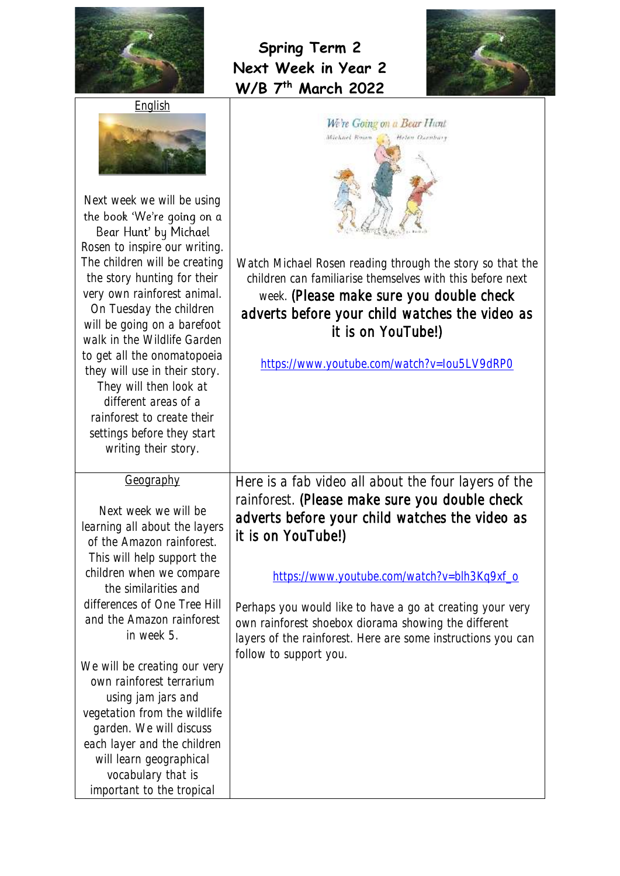



| Next week we will be using<br>the book 'We're going on a<br>Bear Hunt' by Michael<br>Rosen to inspire our writing.<br>The children will be creating<br>the story hunting for their<br>very own rainforest animal.<br>On Tuesday the children<br>will be going on a barefoot<br>walk in the Wildlife Garden<br>to get all the onomatopoeia<br>they will use in their story.<br>They will then look at<br>different areas of a<br>rainforest to create their<br>settings before they start<br>writing their story.       | We're Going on a Bear Hunt<br>Michael Rossa.<br>Helen Oscabusy<br>Watch Michael Rosen reading through the story so that the<br>children can familiarise themselves with this before next<br>week. (Please make sure you double check<br>adverts before your child watches the video as<br>it is on YouTube!)<br>https://www.youtube.com/watch?v=Iou5LV9dRP0                                                                                  |
|------------------------------------------------------------------------------------------------------------------------------------------------------------------------------------------------------------------------------------------------------------------------------------------------------------------------------------------------------------------------------------------------------------------------------------------------------------------------------------------------------------------------|----------------------------------------------------------------------------------------------------------------------------------------------------------------------------------------------------------------------------------------------------------------------------------------------------------------------------------------------------------------------------------------------------------------------------------------------|
| Geography<br>Next week we will be<br>learning all about the layers<br>of the Amazon rainforest.<br>This will help support the<br>children when we compare<br>the similarities and<br>differences of One Tree Hill<br>and the Amazon rainforest<br>in week 5.<br>We will be creating our very<br>own rainforest terrarium<br>using jam jars and<br>vegetation from the wildlife<br>garden. We will discuss<br>each layer and the children<br>will learn geographical<br>vocabulary that is<br>important to the tropical | Here is a fab video all about the four layers of the<br>rainforest. (Please make sure you double check<br>adverts before your child watches the video as<br>it is on YouTube!)<br>https://www.youtube.com/watch?v=blh3Kq9xf_o<br>Perhaps you would like to have a go at creating your very<br>own rainforest shoebox diorama showing the different<br>layers of the rainforest. Here are some instructions you can<br>follow to support you. |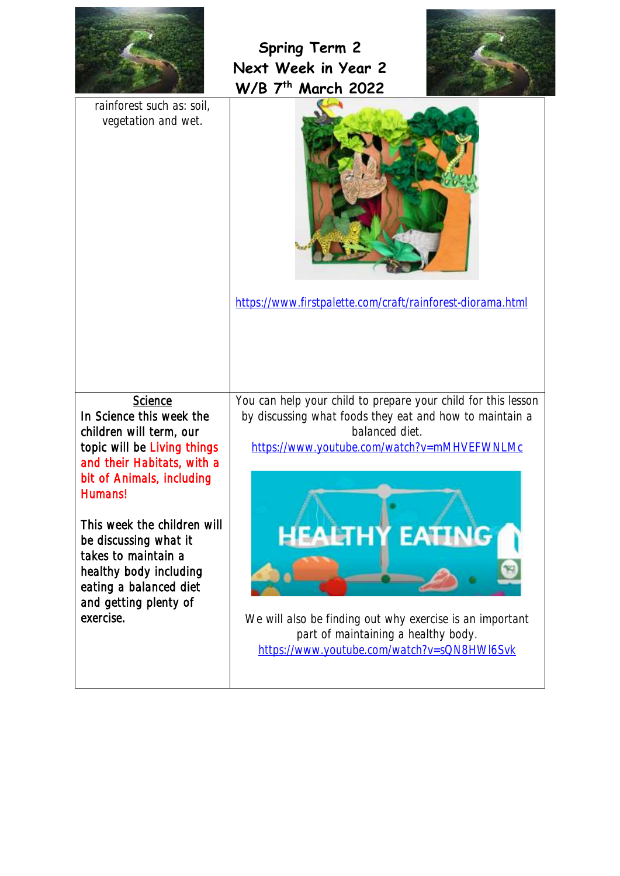



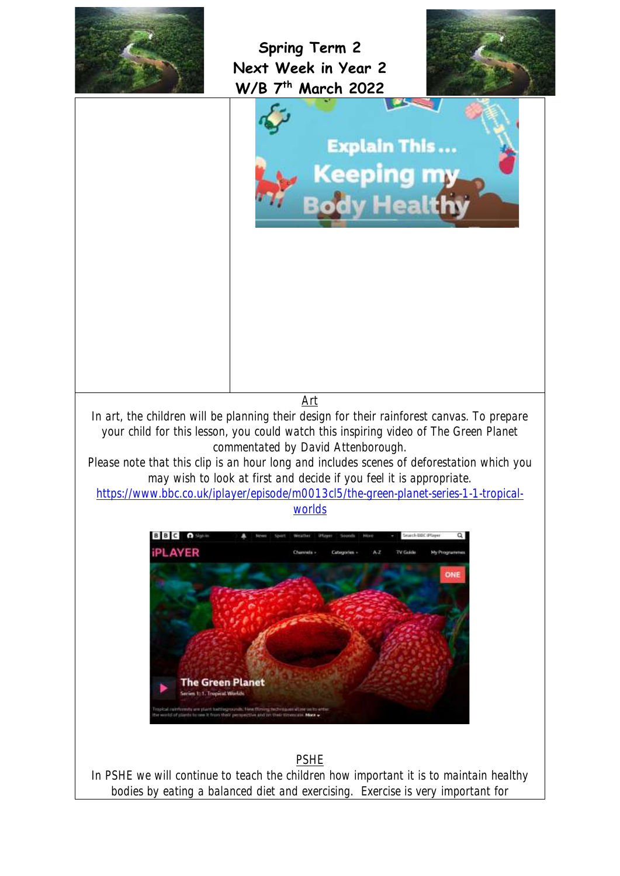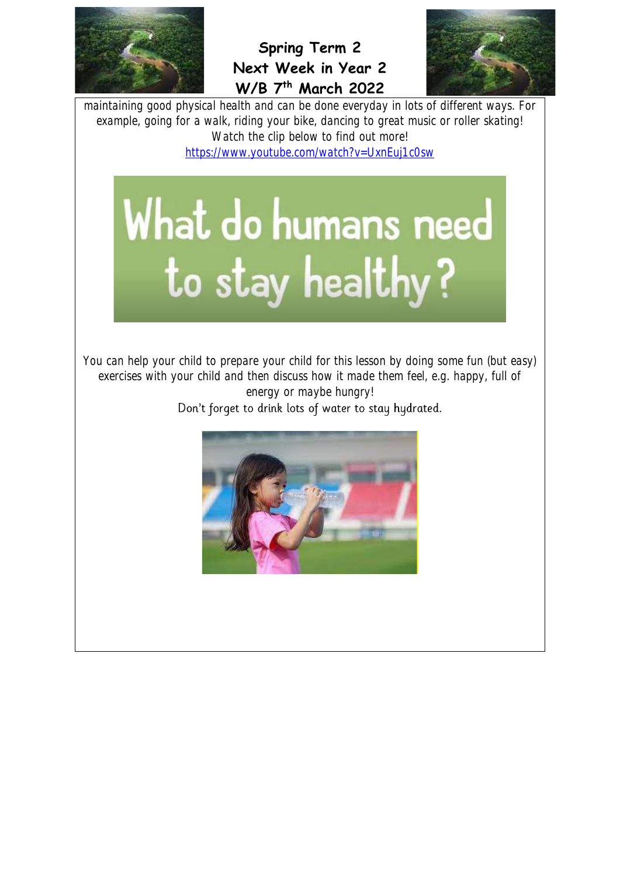



maintaining good physical health and can be done everyday in lots of different ways. For example, going for a walk, riding your bike, dancing to great music or roller skating! Watch the clip below to find out more! <https://www.youtube.com/watch?v=UxnEuj1c0sw>

## What do humans need to stay healthy?

You can help your child to prepare your child for this lesson by doing some fun (but easy) exercises with your child and then discuss how it made them feel, e.g. happy, full of energy or maybe hungry!

Don't forget to drink lots of water to stay hydrated.

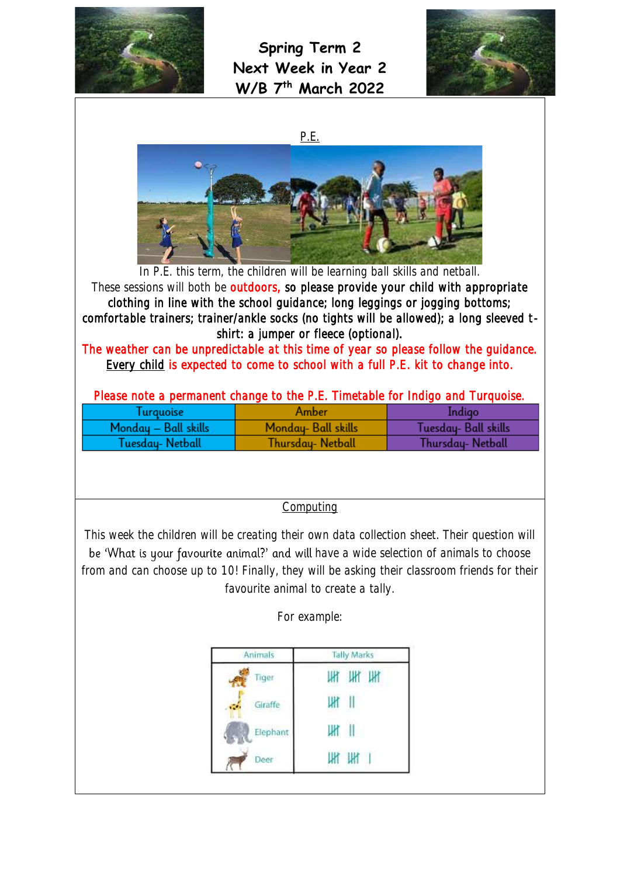

**Spring Term 2 Next Week in Year 2 W/B 7 th March 2022**



P.E.



In P.E. this term, the children will be learning ball skills and netball. These sessions will both be outdoors, so please provide your child with appropriate clothing in line with the school guidance; long leggings or jogging bottoms; comfortable trainers; trainer/ankle socks (no tights will be allowed); a long sleeved tshirt: a jumper or fleece (optional).

The weather can be unpredictable at this time of year so please follow the guidance. Every child is expected to come to school with a full P.E. kit to change into.

| l urauoise           | Amber               | Indigo              |
|----------------------|---------------------|---------------------|
| Monday - Ball skills | Monday- Ball skills | Tuesday-Ball skills |
| Tuesday-Netball      | Thursday- Netball   | Thursday- Netball   |

**Computing** 

This week the children will be creating their own data collection sheet. Their question will be 'What is your favourite animal?' and will have a wide selection of animals to choose from and can choose up to 10! Finally, they will be asking their classroom friends for their favourite animal to create a tally.

For example:

| Animals  | <b>Tally Marks</b> |  |
|----------|--------------------|--|
| Tiger    | HI HI              |  |
| Giraffe  |                    |  |
| Elephant | $\parallel$<br>Ш۲  |  |
| Deer     | ΙИ                 |  |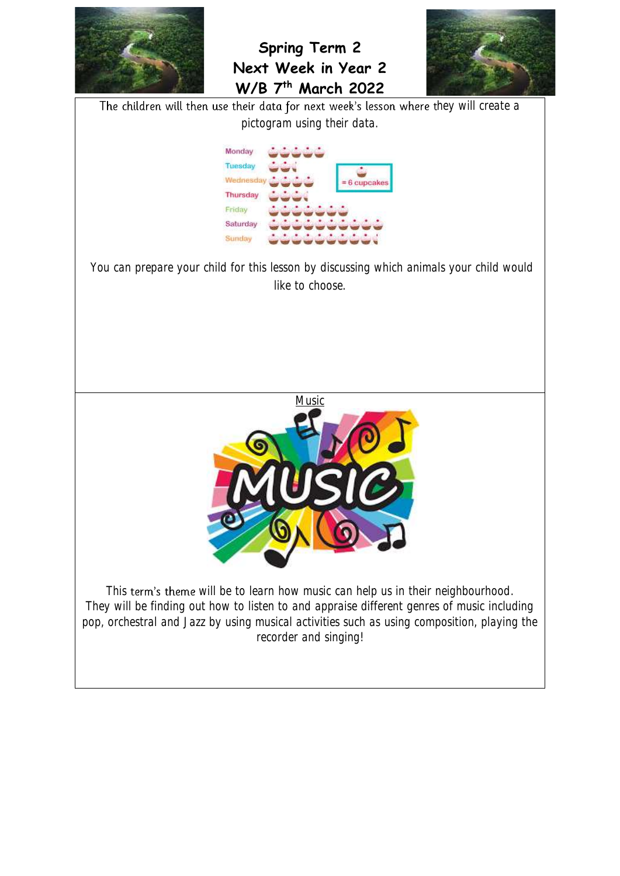



The children will then use their data for next week's lesson where they will create a pictogram using their data.



You can prepare your child for this lesson by discussing which animals your child would like to choose.



This term's theme will be to learn how music can help us in their neighbourhood. They will be finding out how to listen to and appraise different genres of music including pop, orchestral and Jazz by using musical activities such as using composition, playing the recorder and singing!